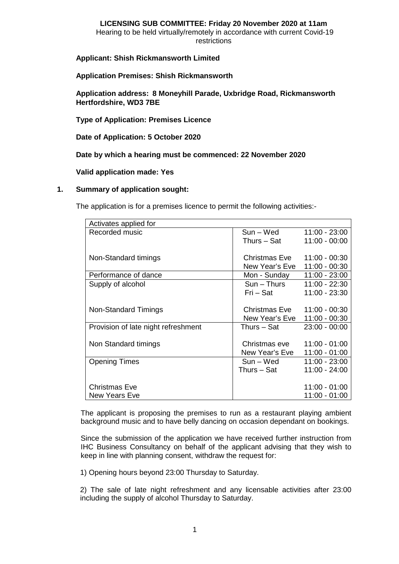#### **LICENSING SUB COMMITTEE: Friday 20 November 2020 at 11am** Hearing to be held virtually/remotely in accordance with current Covid-19 restrictions

## **Applicant: Shish Rickmansworth Limited**

### **Application Premises: Shish Rickmansworth**

**Application address: 8 Moneyhill Parade, Uxbridge Road, Rickmansworth Hertfordshire, WD3 7BE**

**Type of Application: Premises Licence**

**Date of Application: 5 October 2020**

**Date by which a hearing must be commenced: 22 November 2020**

**Valid application made: Yes**

### **1. Summary of application sought:**

The application is for a premises licence to permit the following activities:-

| Activates applied for               |                |                 |
|-------------------------------------|----------------|-----------------|
| Recorded music                      | Sun – Wed      | $11:00 - 23:00$ |
|                                     | Thurs – Sat    | $11:00 - 00:00$ |
|                                     |                |                 |
| Non-Standard timings                | Christmas Eve  | $11:00 - 00:30$ |
|                                     | New Year's Eve | 11:00 - 00:30   |
| Performance of dance                | Mon - Sunday   | $11:00 - 23:00$ |
| Supply of alcohol                   | Sun – Thurs    | $11:00 - 22:30$ |
|                                     | Fri – Sat      | 11:00 - 23:30   |
|                                     |                |                 |
| Non-Standard Timings                | Christmas Eve  | 11:00 - 00:30   |
|                                     | New Year's Eve | $11:00 - 00:30$ |
| Provision of late night refreshment | Thurs – Sat    | $23:00 - 00:00$ |
|                                     |                |                 |
| Non Standard timings                | Christmas eve  | $11:00 - 01:00$ |
|                                     | New Year's Eve | $11:00 - 01:00$ |
| <b>Opening Times</b>                | Sun – Wed      | 11:00 - 23:00   |
|                                     | Thurs – Sat    | 11:00 - 24:00   |
|                                     |                |                 |
| Christmas Eve                       |                | $11:00 - 01:00$ |
| <b>New Years Eve</b>                |                | $11:00 - 01:00$ |

The applicant is proposing the premises to run as a restaurant playing ambient background music and to have belly dancing on occasion dependant on bookings.

Since the submission of the application we have received further instruction from IHC Business Consultancy on behalf of the applicant advising that they wish to keep in line with planning consent, withdraw the request for:

1) Opening hours beyond 23:00 Thursday to Saturday.

2) The sale of late night refreshment and any licensable activities after 23:00 including the supply of alcohol Thursday to Saturday.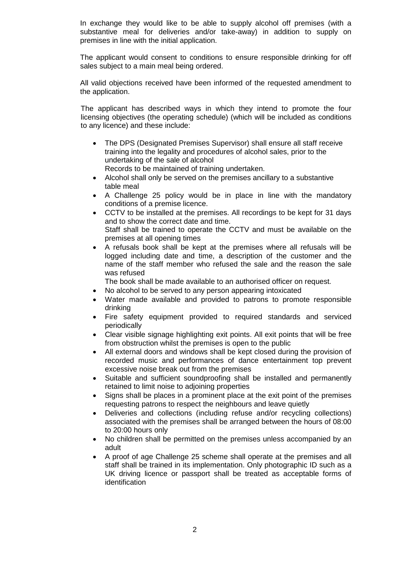In exchange they would like to be able to supply alcohol off premises (with a substantive meal for deliveries and/or take-away) in addition to supply on premises in line with the initial application.

The applicant would consent to conditions to ensure responsible drinking for off sales subject to a main meal being ordered.

All valid objections received have been informed of the requested amendment to the application.

The applicant has described ways in which they intend to promote the four licensing objectives (the operating schedule) (which will be included as conditions to any licence) and these include:

- The DPS (Designated Premises Supervisor) shall ensure all staff receive training into the legality and procedures of alcohol sales, prior to the undertaking of the sale of alcohol Records to be maintained of training undertaken.
- Alcohol shall only be served on the premises ancillary to a substantive table meal
- A Challenge 25 policy would be in place in line with the mandatory conditions of a premise licence.
- CCTV to be installed at the premises. All recordings to be kept for 31 days and to show the correct date and time. Staff shall be trained to operate the CCTV and must be available on the premises at all opening times
- A refusals book shall be kept at the premises where all refusals will be logged including date and time, a description of the customer and the name of the staff member who refused the sale and the reason the sale was refused
	- The book shall be made available to an authorised officer on request*.*
- No alcohol to be served to any person appearing intoxicated
- Water made available and provided to patrons to promote responsible drinking
- Fire safety equipment provided to required standards and serviced periodically
- Clear visible signage highlighting exit points. All exit points that will be free from obstruction whilst the premises is open to the public
- All external doors and windows shall be kept closed during the provision of recorded music and performances of dance entertainment top prevent excessive noise break out from the premises
- Suitable and sufficient soundproofing shall be installed and permanently retained to limit noise to adjoining properties
- Signs shall be places in a prominent place at the exit point of the premises requesting patrons to respect the neighbours and leave quietly
- Deliveries and collections (including refuse and/or recycling collections) associated with the premises shall be arranged between the hours of 08:00 to 20:00 hours only
- No children shall be permitted on the premises unless accompanied by an adult
- A proof of age Challenge 25 scheme shall operate at the premises and all staff shall be trained in its implementation. Only photographic ID such as a UK driving licence or passport shall be treated as acceptable forms of identification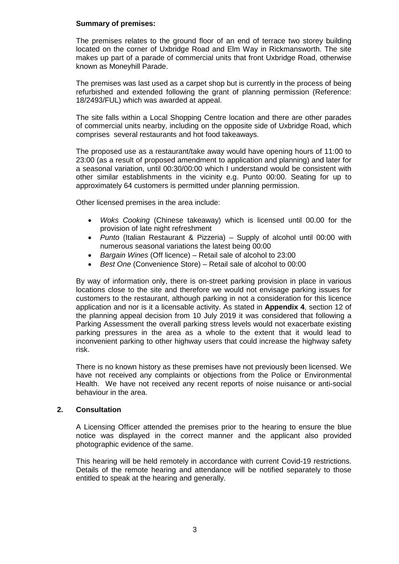### **Summary of premises:**

The premises relates to the ground floor of an end of terrace two storey building located on the corner of Uxbridge Road and Elm Way in Rickmansworth. The site makes up part of a parade of commercial units that front Uxbridge Road, otherwise known as Moneyhill Parade.

The premises was last used as a carpet shop but is currently in the process of being refurbished and extended following the grant of planning permission (Reference: 18/2493/FUL) which was awarded at appeal.

The site falls within a Local Shopping Centre location and there are other parades of commercial units nearby, including on the opposite side of Uxbridge Road, which comprises several restaurants and hot food takeaways.

The proposed use as a restaurant/take away would have opening hours of 11:00 to 23:00 (as a result of proposed amendment to application and planning) and later for a seasonal variation, until 00:30/00:00 which I understand would be consistent with other similar establishments in the vicinity e.g. Punto 00:00. Seating for up to approximately 64 customers is permitted under planning permission.

Other licensed premises in the area include:

- *Woks Cooking* (Chinese takeaway) which is licensed until 00.00 for the provision of late night refreshment
- *Punto* (Italian Restaurant & Pizzeria) Supply of alcohol until 00:00 with numerous seasonal variations the latest being 00:00
- *Bargain Wines* (Off licence) Retail sale of alcohol to 23:00
- *Best One* (Convenience Store) Retail sale of alcohol to 00:00

By way of information only, there is on-street parking provision in place in various locations close to the site and therefore we would not envisage parking issues for customers to the restaurant, although parking in not a consideration for this licence application and nor is it a licensable activity. As stated in **Appendix 4**, section 12 of the planning appeal decision from 10 July 2019 it was considered that following a Parking Assessment the overall parking stress levels would not exacerbate existing parking pressures in the area as a whole to the extent that it would lead to inconvenient parking to other highway users that could increase the highway safety risk.

There is no known history as these premises have not previously been licensed. We have not received any complaints or objections from the Police or Environmental Health. We have not received any recent reports of noise nuisance or anti-social behaviour in the area.

### **2. Consultation**

A Licensing Officer attended the premises prior to the hearing to ensure the blue notice was displayed in the correct manner and the applicant also provided photographic evidence of the same.

This hearing will be held remotely in accordance with current Covid-19 restrictions. Details of the remote hearing and attendance will be notified separately to those entitled to speak at the hearing and generally.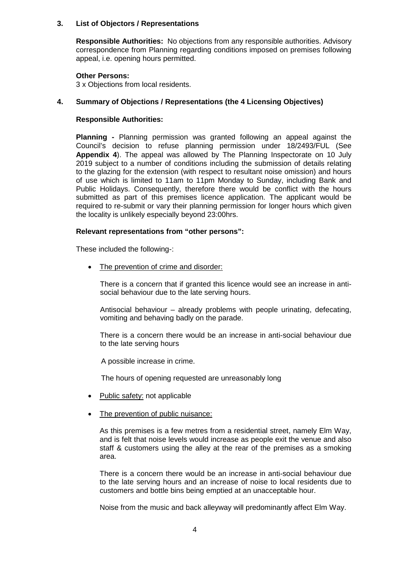### **3. List of Objectors / Representations**

**Responsible Authorities:** No objections from any responsible authorities. Advisory correspondence from Planning regarding conditions imposed on premises following appeal, i.e. opening hours permitted.

### **Other Persons:**

3 x Objections from local residents.

### **4. Summary of Objections / Representations (the 4 Licensing Objectives)**

#### **Responsible Authorities:**

**Planning -** Planning permission was granted following an appeal against the Council's decision to refuse planning permission under 18/2493/FUL (See **Appendix 4**). The appeal was allowed by The Planning Inspectorate on 10 July 2019 subject to a number of conditions including the submission of details relating to the glazing for the extension (with respect to resultant noise omission) and hours of use which is limited to 11am to 11pm Monday to Sunday, including Bank and Public Holidays. Consequently, therefore there would be conflict with the hours submitted as part of this premises licence application. The applicant would be required to re-submit or vary their planning permission for longer hours which given the locality is unlikely especially beyond 23:00hrs.

### **Relevant representations from "other persons":**

These included the following-:

• The prevention of crime and disorder:

There is a concern that if granted this licence would see an increase in antisocial behaviour due to the late serving hours.

Antisocial behaviour – already problems with people urinating, defecating, vomiting and behaving badly on the parade.

There is a concern there would be an increase in anti-social behaviour due to the late serving hours

A possible increase in crime.

The hours of opening requested are unreasonably long

- Public safety: not applicable
- The prevention of public nuisance:

As this premises is a few metres from a residential street, namely Elm Way, and is felt that noise levels would increase as people exit the venue and also staff & customers using the alley at the rear of the premises as a smoking area.

 There is a concern there would be an increase in anti-social behaviour due to the late serving hours and an increase of noise to local residents due to customers and bottle bins being emptied at an unacceptable hour.

Noise from the music and back alleyway will predominantly affect Elm Way.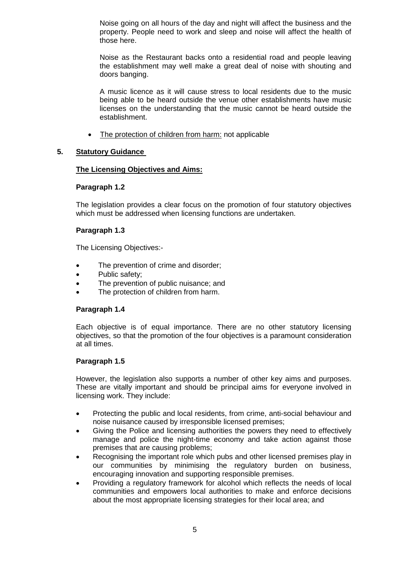Noise going on all hours of the day and night will affect the business and the property. People need to work and sleep and noise will affect the health of those here.

Noise as the Restaurant backs onto a residential road and people leaving the establishment may well make a great deal of noise with shouting and doors banging.

A music licence as it will cause stress to local residents due to the music being able to be heard outside the venue other establishments have music licenses on the understanding that the music cannot be heard outside the establishment.

The protection of children from harm: not applicable

## **5. Statutory Guidance**

## **The Licensing Objectives and Aims:**

### **Paragraph 1.2**

The legislation provides a clear focus on the promotion of four statutory objectives which must be addressed when licensing functions are undertaken.

## **Paragraph 1.3**

The Licensing Objectives:-

- The prevention of crime and disorder;
- Public safety;
- The prevention of public nuisance; and
- The protection of children from harm.

### **Paragraph 1.4**

Each objective is of equal importance. There are no other statutory licensing objectives, so that the promotion of the four objectives is a paramount consideration at all times.

### **Paragraph 1.5**

However, the legislation also supports a number of other key aims and purposes. These are vitally important and should be principal aims for everyone involved in licensing work. They include:

- Protecting the public and local residents, from crime, anti-social behaviour and noise nuisance caused by irresponsible licensed premises;
- Giving the Police and licensing authorities the powers they need to effectively manage and police the night-time economy and take action against those premises that are causing problems;
- Recognising the important role which pubs and other licensed premises play in our communities by minimising the regulatory burden on business, encouraging innovation and supporting responsible premises.
- Providing a regulatory framework for alcohol which reflects the needs of local communities and empowers local authorities to make and enforce decisions about the most appropriate licensing strategies for their local area; and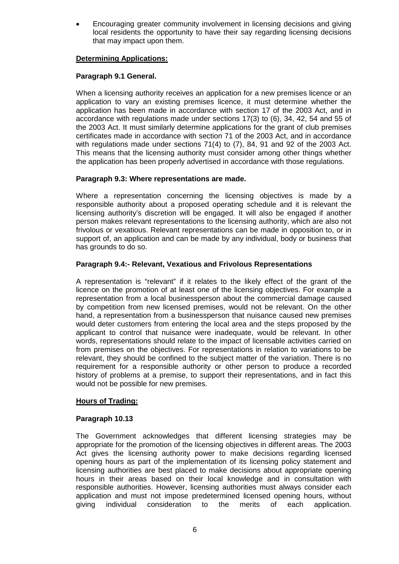• Encouraging greater community involvement in licensing decisions and giving local residents the opportunity to have their say regarding licensing decisions that may impact upon them.

### **Determining Applications:**

## **Paragraph 9.1 General.**

When a licensing authority receives an application for a new premises licence or an application to vary an existing premises licence, it must determine whether the application has been made in accordance with section 17 of the 2003 Act, and in accordance with regulations made under sections 17(3) to (6), 34, 42, 54 and 55 of the 2003 Act. It must similarly determine applications for the grant of club premises certificates made in accordance with section 71 of the 2003 Act, and in accordance with regulations made under sections 71(4) to (7), 84, 91 and 92 of the 2003 Act. This means that the licensing authority must consider among other things whether the application has been properly advertised in accordance with those regulations.

# **Paragraph 9.3: Where representations are made.**

Where a representation concerning the licensing objectives is made by a responsible authority about a proposed operating schedule and it is relevant the licensing authority's discretion will be engaged. It will also be engaged if another person makes relevant representations to the licensing authority, which are also not frivolous or vexatious. Relevant representations can be made in opposition to, or in support of, an application and can be made by any individual, body or business that has grounds to do so.

### **Paragraph 9.4:- Relevant, Vexatious and Frivolous Representations**

A representation is "relevant" if it relates to the likely effect of the grant of the licence on the promotion of at least one of the licensing objectives. For example a representation from a local businessperson about the commercial damage caused by competition from new licensed premises, would not be relevant. On the other hand, a representation from a businessperson that nuisance caused new premises would deter customers from entering the local area and the steps proposed by the applicant to control that nuisance were inadequate, would be relevant. In other words, representations should relate to the impact of licensable activities carried on from premises on the objectives. For representations in relation to variations to be relevant, they should be confined to the subject matter of the variation. There is no requirement for a responsible authority or other person to produce a recorded history of problems at a premise, to support their representations, and in fact this would not be possible for new premises.

### **Hours of Trading:**

### **Paragraph 10.13**

The Government acknowledges that different licensing strategies may be appropriate for the promotion of the licensing objectives in different areas. The 2003 Act gives the licensing authority power to make decisions regarding licensed opening hours as part of the implementation of its licensing policy statement and licensing authorities are best placed to make decisions about appropriate opening hours in their areas based on their local knowledge and in consultation with responsible authorities. However, licensing authorities must always consider each application and must not impose predetermined licensed opening hours, without giving individual consideration to the merits of each application.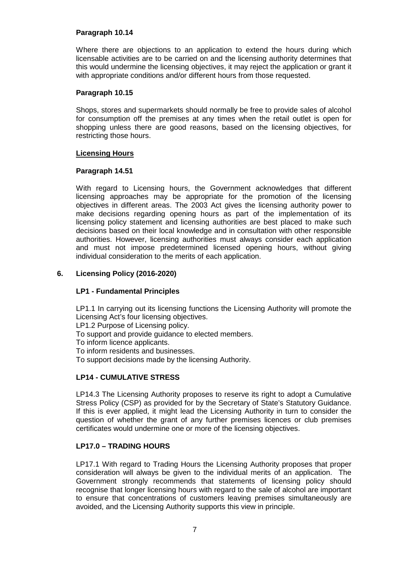### **Paragraph 10.14**

Where there are objections to an application to extend the hours during which licensable activities are to be carried on and the licensing authority determines that this would undermine the licensing objectives, it may reject the application or grant it with appropriate conditions and/or different hours from those requested.

### **Paragraph 10.15**

Shops, stores and supermarkets should normally be free to provide sales of alcohol for consumption off the premises at any times when the retail outlet is open for shopping unless there are good reasons, based on the licensing objectives, for restricting those hours.

#### **Licensing Hours**

### **Paragraph 14.51**

With regard to Licensing hours, the Government acknowledges that different licensing approaches may be appropriate for the promotion of the licensing objectives in different areas. The 2003 Act gives the licensing authority power to make decisions regarding opening hours as part of the implementation of its licensing policy statement and licensing authorities are best placed to make such decisions based on their local knowledge and in consultation with other responsible authorities. However, licensing authorities must always consider each application and must not impose predetermined licensed opening hours, without giving individual consideration to the merits of each application.

## **6. Licensing Policy (2016-2020)**

### **LP1 - Fundamental Principles**

LP1.1 In carrying out its licensing functions the Licensing Authority will promote the Licensing Act's four licensing objectives.

LP1.2 Purpose of Licensing policy.

To support and provide guidance to elected members.

To inform licence applicants.

To inform residents and businesses.

To support decisions made by the licensing Authority.

# **LP14 - CUMULATIVE STRESS**

LP14.3 The Licensing Authority proposes to reserve its right to adopt a Cumulative Stress Policy (CSP) as provided for by the Secretary of State's Statutory Guidance. If this is ever applied, it might lead the Licensing Authority in turn to consider the question of whether the grant of any further premises licences or club premises certificates would undermine one or more of the licensing objectives.

### **LP17.0 – TRADING HOURS**

LP17.1 With regard to Trading Hours the Licensing Authority proposes that proper consideration will always be given to the individual merits of an application. The Government strongly recommends that statements of licensing policy should recognise that longer licensing hours with regard to the sale of alcohol are important to ensure that concentrations of customers leaving premises simultaneously are avoided, and the Licensing Authority supports this view in principle.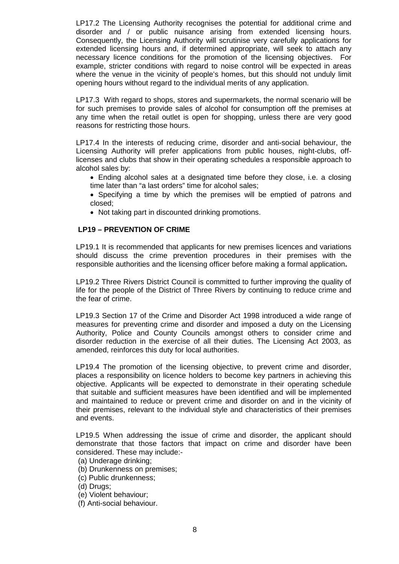LP17.2 The Licensing Authority recognises the potential for additional crime and disorder and / or public nuisance arising from extended licensing hours. Consequently, the Licensing Authority will scrutinise very carefully applications for extended licensing hours and, if determined appropriate, will seek to attach any necessary licence conditions for the promotion of the licensing objectives. For example, stricter conditions with regard to noise control will be expected in areas where the venue in the vicinity of people's homes, but this should not unduly limit opening hours without regard to the individual merits of any application.

LP17.3 With regard to shops, stores and supermarkets, the normal scenario will be for such premises to provide sales of alcohol for consumption off the premises at any time when the retail outlet is open for shopping, unless there are very good reasons for restricting those hours.

LP17.4 In the interests of reducing crime, disorder and anti-social behaviour, the Licensing Authority will prefer applications from public houses, night-clubs, offlicenses and clubs that show in their operating schedules a responsible approach to alcohol sales by:

- Ending alcohol sales at a designated time before they close, i.e. a closing time later than "a last orders" time for alcohol sales;
- Specifying a time by which the premises will be emptied of patrons and closed;
- Not taking part in discounted drinking promotions.

### **LP19 – PREVENTION OF CRIME**

LP19.1 It is recommended that applicants for new premises licences and variations should discuss the crime prevention procedures in their premises with the responsible authorities and the licensing officer before making a formal application**.**

LP19.2 Three Rivers District Council is committed to further improving the quality of life for the people of the District of Three Rivers by continuing to reduce crime and the fear of crime.

LP19.3 Section 17 of the Crime and Disorder Act 1998 introduced a wide range of measures for preventing crime and disorder and imposed a duty on the Licensing Authority, Police and County Councils amongst others to consider crime and disorder reduction in the exercise of all their duties. The Licensing Act 2003, as amended, reinforces this duty for local authorities.

LP19.4 The promotion of the licensing objective, to prevent crime and disorder, places a responsibility on licence holders to become key partners in achieving this objective. Applicants will be expected to demonstrate in their operating schedule that suitable and sufficient measures have been identified and will be implemented and maintained to reduce or prevent crime and disorder on and in the vicinity of their premises, relevant to the individual style and characteristics of their premises and events.

LP19.5 When addressing the issue of crime and disorder, the applicant should demonstrate that those factors that impact on crime and disorder have been considered. These may include:-

- (a) Underage drinking;
- (b) Drunkenness on premises;
- (c) Public drunkenness;
- (d) Drugs;
- (e) Violent behaviour;
- (f) Anti-social behaviour.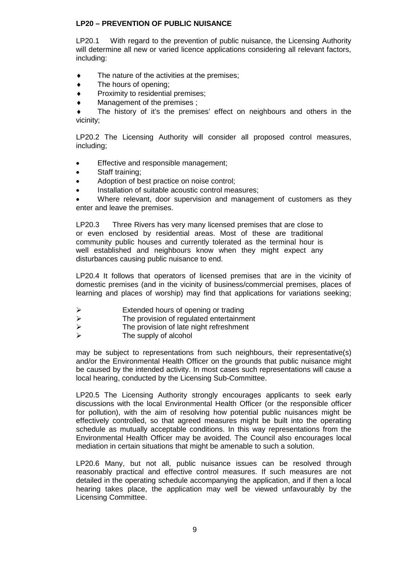### **LP20 – PREVENTION OF PUBLIC NUISANCE**

LP20.1 With regard to the prevention of public nuisance, the Licensing Authority will determine all new or varied licence applications considering all relevant factors, including:

- $\bullet$  The nature of the activities at the premises;
- ♦ The hours of opening;
- Proximity to residential premises:
- Management of the premises :

The history of it's the premises' effect on neighbours and others in the vicinity;

LP20.2 The Licensing Authority will consider all proposed control measures, including;

- Effective and responsible management;
- Staff training;
- Adoption of best practice on noise control;
- Installation of suitable acoustic control measures;

• Where relevant, door supervision and management of customers as they enter and leave the premises.

LP20.3 Three Rivers has very many licensed premises that are close to or even enclosed by residential areas. Most of these are traditional community public houses and currently tolerated as the terminal hour is well established and neighbours know when they might expect any disturbances causing public nuisance to end.

LP20.4 It follows that operators of licensed premises that are in the vicinity of domestic premises (and in the vicinity of business/commercial premises, places of learning and places of worship) may find that applications for variations seeking;

- 
- Extended hours of opening or trading<br>
Fre provision of regulated entertainm > The provision of regulated entertainment<br>
> The provision of late night refreshment
- $\triangleright$  The provision of late night refreshment<br> $\triangleright$  The supply of alcohol
- The supply of alcohol

may be subject to representations from such neighbours, their representative(s) and/or the Environmental Health Officer on the grounds that public nuisance might be caused by the intended activity. In most cases such representations will cause a local hearing, conducted by the Licensing Sub-Committee.

LP20.5 The Licensing Authority strongly encourages applicants to seek early discussions with the local Environmental Health Officer (or the responsible officer for pollution), with the aim of resolving how potential public nuisances might be effectively controlled, so that agreed measures might be built into the operating schedule as mutually acceptable conditions. In this way representations from the Environmental Health Officer may be avoided. The Council also encourages local mediation in certain situations that might be amenable to such a solution.

LP20.6 Many, but not all, public nuisance issues can be resolved through reasonably practical and effective control measures. If such measures are not detailed in the operating schedule accompanying the application, and if then a local hearing takes place, the application may well be viewed unfavourably by the Licensing Committee.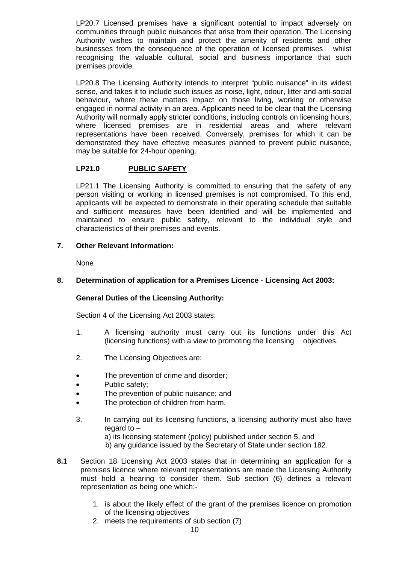LP20.7 Licensed premises have a significant potential to impact adversely on communities through public nuisances that arise from their operation. The Licensing Authority wishes to maintain and protect the amenity of residents and other businesses from the consequence of the operation of licensed premises whilst recognising the valuable cultural, social and business importance that such premises provide.

LP20.8 The Licensing Authority intends to interpret "public nuisance" in its widest sense, and takes it to include such issues as noise, light, odour, litter and anti-social behaviour, where these matters impact on those living, working or otherwise engaged in normal activity in an area. Applicants need to be clear that the Licensing Authority will normally apply stricter conditions, including controls on licensing hours, where licensed premises are in residential areas and where relevant representations have been received. Conversely, premises for which it can be demonstrated they have effective measures planned to prevent public nuisance, may be suitable for 24-hour opening.

# **LP21.0 PUBLIC SAFETY**

LP21.1 The Licensing Authority is committed to ensuring that the safety of any person visiting or working in licensed premises is not compromised. To this end, applicants will be expected to demonstrate in their operating schedule that suitable and sufficient measures have been identified and will be implemented and maintained to ensure public safety, relevant to the individual style and characteristics of their premises and events.

## **7. Other Relevant Information:**

None

## **8. Determination of application for a Premises Licence - Licensing Act 2003:**

# **General Duties of the Licensing Authority:**

Section 4 of the Licensing Act 2003 states:

- 1. A licensing authority must carry out its functions under this Act (licensing functions) with a view to promoting the licensing objectives.
- 2. The Licensing Objectives are:
- The prevention of crime and disorder;
- Public safety;
- The prevention of public nuisance; and
- The protection of children from harm.
- 3. In carrying out its licensing functions, a licensing authority must also have regard to –
	- a) its licensing statement (policy) published under section 5, and
	- b) any guidance issued by the Secretary of State under section 182.
- **8.1** Section 18 Licensing Act 2003 states that in determining an application for a premises licence where relevant representations are made the Licensing Authority must hold a hearing to consider them. Sub section (6) defines a relevant representation as being one which:-
	- 1. is about the likely effect of the grant of the premises licence on promotion of the licensing objectives
	- 2. meets the requirements of sub section (7)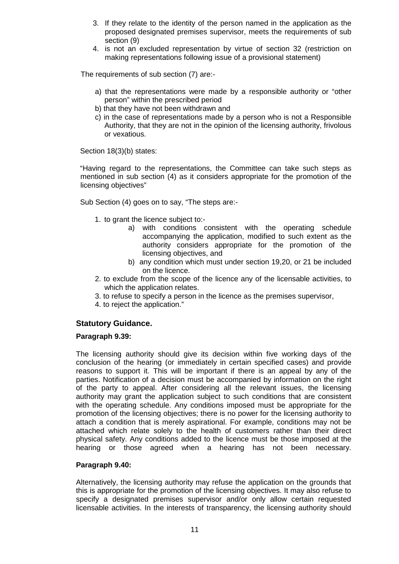- 3. If they relate to the identity of the person named in the application as the proposed designated premises supervisor, meets the requirements of sub section (9)
- 4. is not an excluded representation by virtue of section 32 (restriction on making representations following issue of a provisional statement)

The requirements of sub section (7) are:-

- a) that the representations were made by a responsible authority or "other person" within the prescribed period
- b) that they have not been withdrawn and
- c) in the case of representations made by a person who is not a Responsible Authority, that they are not in the opinion of the licensing authority, frivolous or vexatious.

Section 18(3)(b) states:

"Having regard to the representations, the Committee can take such steps as mentioned in sub section (4) as it considers appropriate for the promotion of the licensing objectives"

Sub Section (4) goes on to say, "The steps are:-

- 1. to grant the licence subject to:
	- a) with conditions consistent with the operating schedule accompanying the application, modified to such extent as the authority considers appropriate for the promotion of the licensing objectives, and
	- b) any condition which must under section 19,20, or 21 be included on the licence.
- 2. to exclude from the scope of the licence any of the licensable activities, to which the application relates.
- 3. to refuse to specify a person in the licence as the premises supervisor,
- 4. to reject the application."

# **Statutory Guidance.**

### **Paragraph 9.39:**

The licensing authority should give its decision within five working days of the conclusion of the hearing (or immediately in certain specified cases) and provide reasons to support it. This will be important if there is an appeal by any of the parties. Notification of a decision must be accompanied by information on the right of the party to appeal. After considering all the relevant issues, the licensing authority may grant the application subject to such conditions that are consistent with the operating schedule. Any conditions imposed must be appropriate for the promotion of the licensing objectives; there is no power for the licensing authority to attach a condition that is merely aspirational. For example, conditions may not be attached which relate solely to the health of customers rather than their direct physical safety. Any conditions added to the licence must be those imposed at the hearing or those agreed when a hearing has not been necessary.

## **Paragraph 9.40:**

Alternatively, the licensing authority may refuse the application on the grounds that this is appropriate for the promotion of the licensing objectives. It may also refuse to specify a designated premises supervisor and/or only allow certain requested licensable activities. In the interests of transparency, the licensing authority should